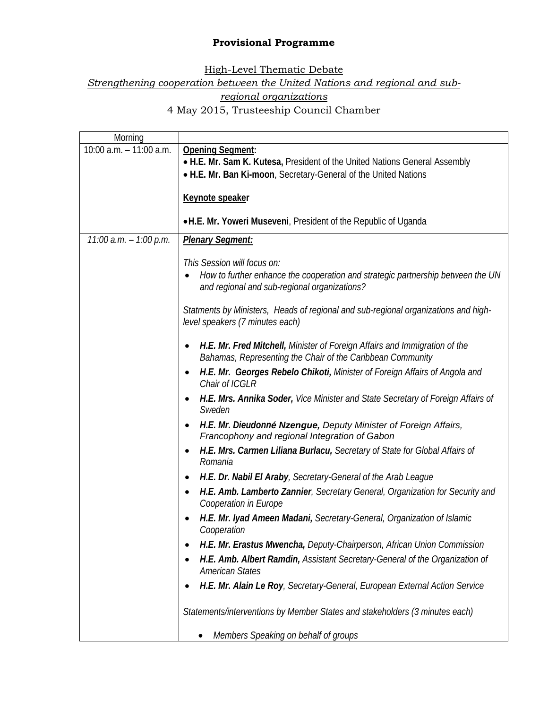## **Provisional Programme**

High-Level Thematic Debate

*Strengthening cooperation between the United Nations and regional and sub-*

*regional organizations* 

4 May 2015, Trusteeship Council Chamber

| Morning                   |                                                                                                                       |
|---------------------------|-----------------------------------------------------------------------------------------------------------------------|
| 10:00 $a.m. - 11:00 a.m.$ | <b>Opening Segment:</b>                                                                                               |
|                           | . H.E. Mr. Sam K. Kutesa, President of the United Nations General Assembly                                            |
|                           | . H.E. Mr. Ban Ki-moon, Secretary-General of the United Nations                                                       |
|                           |                                                                                                                       |
|                           | Keynote speaker                                                                                                       |
|                           |                                                                                                                       |
|                           | •H.E. Mr. Yoweri Museveni, President of the Republic of Uganda                                                        |
| $11:00$ a.m. $-1:00$ p.m. | <b>Plenary Segment:</b>                                                                                               |
|                           | This Session will focus on:                                                                                           |
|                           | How to further enhance the cooperation and strategic partnership between the UN                                       |
|                           | and regional and sub-regional organizations?                                                                          |
|                           | Statments by Ministers, Heads of regional and sub-regional organizations and high-                                    |
|                           | level speakers (7 minutes each)                                                                                       |
|                           | H.E. Mr. Fred Mitchell, Minister of Foreign Affairs and Immigration of the                                            |
|                           | Bahamas, Representing the Chair of the Caribbean Community                                                            |
|                           | H.E. Mr. Georges Rebelo Chikoti, Minister of Foreign Affairs of Angola and                                            |
|                           | Chair of ICGLR                                                                                                        |
|                           | H.E. Mrs. Annika Soder, Vice Minister and State Secretary of Foreign Affairs of<br>Sweden                             |
|                           | H.E. Mr. Dieudonné Nzengue, Deputy Minister of Foreign Affairs,<br>٠<br>Francophony and regional Integration of Gabon |
|                           | H.E. Mrs. Carmen Liliana Burlacu, Secretary of State for Global Affairs of<br>$\bullet$<br>Romania                    |
|                           | H.E. Dr. Nabil El Araby, Secretary-General of the Arab League<br>٠                                                    |
|                           | H.E. Amb. Lamberto Zannier, Secretary General, Organization for Security and<br>Cooperation in Europe                 |
|                           | H.E. Mr. Iyad Ameen Madani, Secretary-General, Organization of Islamic<br>Cooperation                                 |
|                           | H.E. Mr. Erastus Mwencha, Deputy-Chairperson, African Union Commission                                                |
|                           | H.E. Amb. Albert Ramdin, Assistant Secretary-General of the Organization of                                           |
|                           | <b>American States</b>                                                                                                |
|                           | H.E. Mr. Alain Le Roy, Secretary-General, European External Action Service                                            |
|                           | Statements/interventions by Member States and stakeholders (3 minutes each)                                           |
|                           | Members Speaking on behalf of groups                                                                                  |